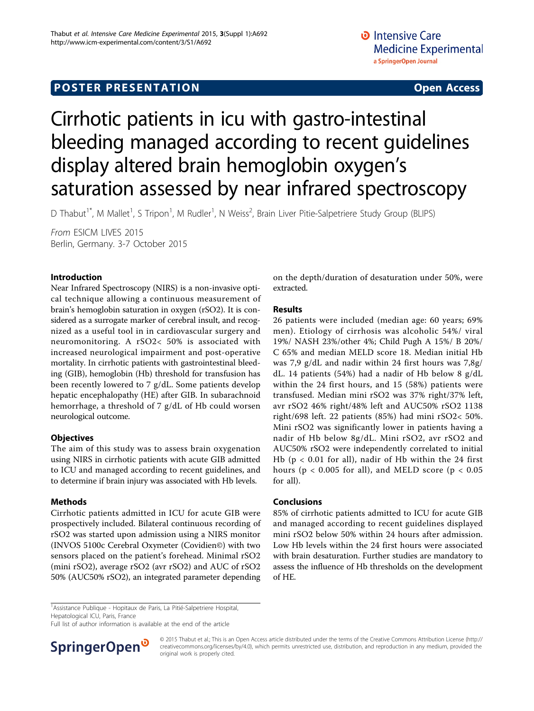## **POSTER PRESENTATION CONSUMING ACCESS**

# Cirrhotic patients in icu with gastro-intestinal bleeding managed according to recent guidelines display altered brain hemoglobin oxygen's saturation assessed by near infrared spectroscopy

D Thabut<sup>1\*</sup>, M Mallet<sup>1</sup>, S Tripon<sup>1</sup>, M Rudler<sup>1</sup>, N Weiss<sup>2</sup>, Brain Liver Pitie-Salpetriere Study Group (BLIPS)

From ESICM LIVES 2015 Berlin, Germany. 3-7 October 2015

#### Introduction

Near Infrared Spectroscopy (NIRS) is a non-invasive optical technique allowing a continuous measurement of brain's hemoglobin saturation in oxygen (rSO2). It is considered as a surrogate marker of cerebral insult, and recognized as a useful tool in in cardiovascular surgery and neuromonitoring. A rSO2< 50% is associated with increased neurological impairment and post-operative mortality. In cirrhotic patients with gastrointestinal bleeding (GIB), hemoglobin (Hb) threshold for transfusion has been recently lowered to 7 g/dL. Some patients develop hepatic encephalopathy (HE) after GIB. In subarachnoid hemorrhage, a threshold of 7 g/dL of Hb could worsen neurological outcome.

#### **Objectives**

The aim of this study was to assess brain oxygenation using NIRS in cirrhotic patients with acute GIB admitted to ICU and managed according to recent guidelines, and to determine if brain injury was associated with Hb levels.

#### Methods

Cirrhotic patients admitted in ICU for acute GIB were prospectively included. Bilateral continuous recording of rSO2 was started upon admission using a NIRS monitor (INVOS 5100c Cerebral Oxymeter (Covidien©) with two sensors placed on the patient's forehead. Minimal rSO2 (mini rSO2), average rSO2 (avr rSO2) and AUC of rSO2 50% (AUC50% rSO2), an integrated parameter depending

on the depth/duration of desaturation under 50%, were extracted.

#### Results

26 patients were included (median age: 60 years; 69% men). Etiology of cirrhosis was alcoholic 54%/ viral 19%/ NASH 23%/other 4%; Child Pugh A 15%/ B 20%/ C 65% and median MELD score 18. Median initial Hb was 7,9 g/dL and nadir within 24 first hours was 7,8g/ dL. 14 patients (54%) had a nadir of Hb below 8 g/dL within the 24 first hours, and 15 (58%) patients were transfused. Median mini rSO2 was 37% right/37% left, avr rSO2 46% right/48% left and AUC50% rSO2 1138 right/698 left. 22 patients (85%) had mini rSO2< 50%. Mini rSO2 was significantly lower in patients having a nadir of Hb below 8g/dL. Mini rSO2, avr rSO2 and AUC50% rSO2 were independently correlated to initial Hb ( $p < 0.01$  for all), nadir of Hb within the 24 first hours ( $p < 0.005$  for all), and MELD score ( $p < 0.05$ ) for all).

#### Conclusions

85% of cirrhotic patients admitted to ICU for acute GIB and managed according to recent guidelines displayed mini rSO2 below 50% within 24 hours after admission. Low Hb levels within the 24 first hours were associated with brain desaturation. Further studies are mandatory to assess the influence of Hb thresholds on the development of HE.

<sup>1</sup> Assistance Publique - Hopitaux de Paris, La Pitié-Salpetriere Hospital, Hepatological ICU, Paris, France

Full list of author information is available at the end of the article



© 2015 Thabut et al.; This is an Open Access article distributed under the terms of the Creative Commons Attribution License [\(http://](http://creativecommons.org/licenses/by/4.0) [creativecommons.org/licenses/by/4.0](http://creativecommons.org/licenses/by/4.0)), which permits unrestricted use, distribution, and reproduction in any medium, provided the original work is properly cited.